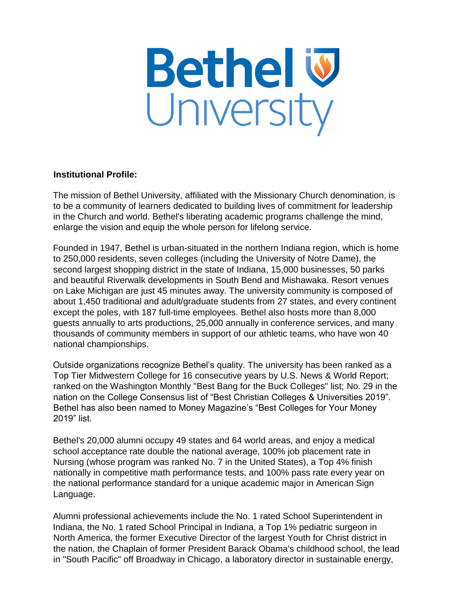

## **Institutional Profile:**

The mission of Bethel University, affiliated with the Missionary Church denomination, is to be a community of learners dedicated to building lives of commitment for leadership in the Church and world. Bethel's liberating academic programs challenge the mind, enlarge the vision and equip the whole person for lifelong service.

Founded in 1947, Bethel is urban-situated in the northern Indiana region, which is home to 250,000 residents, seven colleges (including the University of Notre Dame), the second largest shopping district in the state of Indiana, 15,000 businesses, 50 parks and beautiful Riverwalk developments in South Bend and Mishawaka. Resort venues on Lake Michigan are just 45 minutes away. The university community is composed of about 1,450 traditional and adult/graduate students from 27 states, and every continent except the poles, with 187 full-time employees. Bethel also hosts more than 8,000 guests annually to arts productions, 25,000 annually in conference services, and many thousands of community members in support of our athletic teams, who have won 40 national championships.

Outside organizations recognize Bethel's quality. The university has been ranked as a Top Tier Midwestern College for 16 consecutive years by U.S. News & World Report; ranked on the Washington Monthly "Best Bang for the Buck Colleges" list; No. 29 in the nation on the College Consensus list of "Best Christian Colleges & Universities 2019". Bethel has also been named to Money Magazine's "Best Colleges for Your Money 2019" list.

Bethel's 20,000 alumni occupy 49 states and 64 world areas, and enjoy a medical school acceptance rate double the national average, 100% job placement rate in Nursing (whose program was ranked No. 7 in the United States), a Top 4% finish nationally in competitive math performance tests, and 100% pass rate every year on the national performance standard for a unique academic major in American Sign Language.

Alumni professional achievements include the No. 1 rated School Superintendent in Indiana, the No. 1 rated School Principal in Indiana, a Top 1% pediatric surgeon in North America, the former Executive Director of the largest Youth for Christ district in the nation, the Chaplain of former President Barack Obama's childhood school, the lead in "South Pacific" off Broadway in Chicago, a laboratory director in sustainable energy,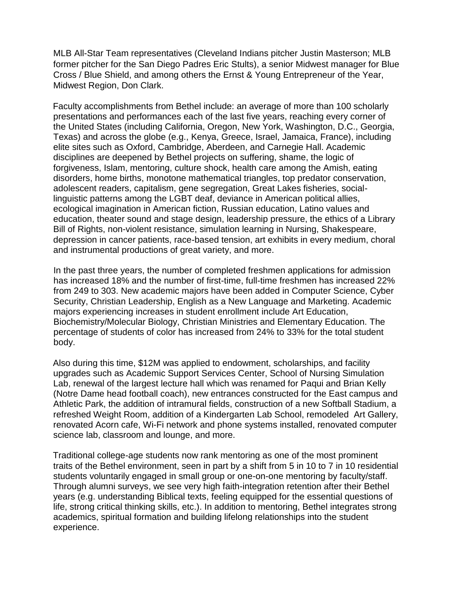MLB All-Star Team representatives (Cleveland Indians pitcher Justin Masterson; MLB former pitcher for the San Diego Padres Eric Stults), a senior Midwest manager for Blue Cross / Blue Shield, and among others the Ernst & Young Entrepreneur of the Year, Midwest Region, Don Clark.

Faculty accomplishments from Bethel include: an average of more than 100 scholarly presentations and performances each of the last five years, reaching every corner of the United States (including California, Oregon, New York, Washington, D.C., Georgia, Texas) and across the globe (e.g., Kenya, Greece, Israel, Jamaica, France), including elite sites such as Oxford, Cambridge, Aberdeen, and Carnegie Hall. Academic disciplines are deepened by Bethel projects on suffering, shame, the logic of forgiveness, Islam, mentoring, culture shock, health care among the Amish, eating disorders, home births, monotone mathematical triangles, top predator conservation, adolescent readers, capitalism, gene segregation, Great Lakes fisheries, sociallinguistic patterns among the LGBT deaf, deviance in American political allies, ecological imagination in American fiction, Russian education, Latino values and education, theater sound and stage design, leadership pressure, the ethics of a Library Bill of Rights, non-violent resistance, simulation learning in Nursing, Shakespeare, depression in cancer patients, race-based tension, art exhibits in every medium, choral and instrumental productions of great variety, and more.

In the past three years, the number of completed freshmen applications for admission has increased 18% and the number of first-time, full-time freshmen has increased 22% from 249 to 303. New academic majors have been added in Computer Science, Cyber Security, Christian Leadership, English as a New Language and Marketing. Academic majors experiencing increases in student enrollment include Art Education, Biochemistry/Molecular Biology, Christian Ministries and Elementary Education. The percentage of students of color has increased from 24% to 33% for the total student body.

Also during this time, \$12M was applied to endowment, scholarships, and facility upgrades such as Academic Support Services Center, School of Nursing Simulation Lab, renewal of the largest lecture hall which was renamed for Paqui and Brian Kelly (Notre Dame head football coach), new entrances constructed for the East campus and Athletic Park, the addition of intramural fields, construction of a new Softball Stadium, a refreshed Weight Room, addition of a Kindergarten Lab School, remodeled Art Gallery, renovated Acorn cafe, Wi-Fi network and phone systems installed, renovated computer science lab, classroom and lounge, and more.

Traditional college-age students now rank mentoring as one of the most prominent traits of the Bethel environment, seen in part by a shift from 5 in 10 to 7 in 10 residential students voluntarily engaged in small group or one-on-one mentoring by faculty/staff. Through alumni surveys, we see very high faith-integration retention after their Bethel years (e.g. understanding Biblical texts, feeling equipped for the essential questions of life, strong critical thinking skills, etc.). In addition to mentoring, Bethel integrates strong academics, spiritual formation and building lifelong relationships into the student experience.